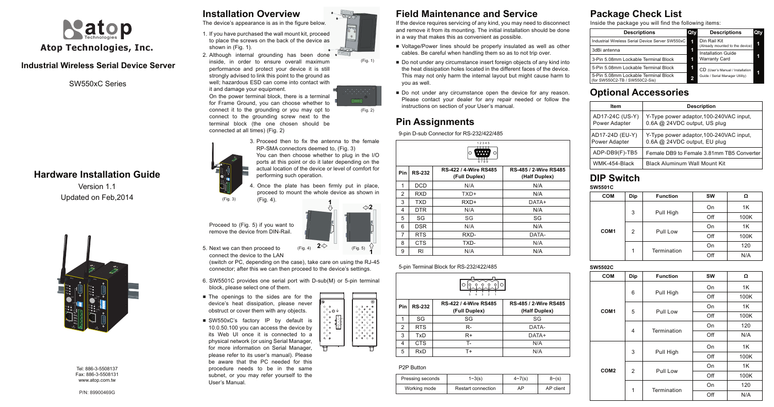## **Industrial Wireless Serial Device Server**

# **Hardware Installation Guide**

Version 1.1 Updated on Feb,2014

> Tel: 886-3-5508137 Fax: 886-3-5508131 www.atop.com.tw



SW550xC Series

# **Installation Overview**

5. Next we can then proceed to connect the device to the LAN

The device's appearance is as in the figure below.

3. Proceed then to fix the antenna to the female RP-SMA connectors deemed to, (Fig. 3) You can then choose whether to plug in the I/O ports at this point or do it later depending on the

(switch or PC, depending on the case), take care on using the RJ-45 connector; after this we can then proceed to the device's settings.

4. Once the plate has been firmly put in place, proceed to mount the whole device as shown in (Fig. 4).

- 6. SW5501C provides one serial port with D-sub(M) or 5-pin terminal block, please select one of them.
- The openings to the sides are for the device's heat dissipation, please never obstruct or cover them with any objects.
- SW550xC's factory IP by default is 10.0.50.100 you can access the device by its Web UI once it is connected to a physical network (or using Serial Manager, for more information on Serial Manager, please refer to its user's manual). Please be aware that the PC needed for this procedure needs to be in the same subnet, or you may refer yourself to the User's Manual.



actual location of the device or level of comfort for performing such operation.

(Fig. 3)



Proceed to (Fig. 5) if you want to remove the device from DIN-Rail.

- Voltage/Power lines should be properly insulated as well as other cables. Be careful when handling them so as to not trip over.
- Do not under any circumstance insert foreign objects of any kind into the heat dissipation holes located in the different faces of the device. This may not only harm the internal layout but might cause harm to you as well.
- Do not under any circumstance open the device for any reason. Please contact your dealer for any repair needed or follow the instructions on section of your User's manual.
- 1. If you have purchased the wall mount kit, proceed to place the screws on the back of the device as shown in (Fig. 1).
- 2. Although internal grounding has been done inside, in order to ensure overall maximum performance and protect your device it is still strongly advised to link this point to the ground as well; hazardous ESD can come into contact with it and damage your equipment.

# **Field Maintenance and Service**

 $^{\prime}$ Poor COM

If the device requires servicing of any kind, you may need to disconnect and remove it from its mounting. The initial installation should be done in a way that makes this as convenient as possible.



On the power terminal block, there is a terminal for Frame Ground, you can choose whether to connect it to the grounding or you may opt to connect to the grounding screw next to the terminal block (the one chosen should be connected at all times) (Fig. 2)







### 5-pin Terminal Block for RS-232/422/485

# **Pin Assignments**

9-pin D-sub Connector for RS-232/422/485

| <b>Pin</b> | <b>RS-232</b> | RS-422 / 4-Wire RS485<br>(Full Duplex) | RS-485 / 2-Wire RS485<br>(Half Duplex) |
|------------|---------------|----------------------------------------|----------------------------------------|
| 1          | <b>DCD</b>    | N/A                                    | N/A                                    |
| 2          | <b>RXD</b>    | TXD+                                   | N/A                                    |
| 3          | <b>TXD</b>    | $RXD+$                                 | DATA+                                  |
| 4          | <b>DTR</b>    | N/A                                    | N/A                                    |
| 5          | SG            | SG                                     | SG                                     |
| 6          | <b>DSR</b>    | N/A                                    | N/A                                    |
| 7          | <b>RTS</b>    | RXD-                                   | DATA-                                  |
| 8          | <b>CTS</b>    | TXD-                                   | N/A                                    |
| 9          | RI            | N/A                                    | N/A                                    |



| 5<br>2<br>з |               |                                        |                                        |  |  |  |
|-------------|---------------|----------------------------------------|----------------------------------------|--|--|--|
| Pin         | <b>RS-232</b> | RS-422 / 4-Wire RS485<br>(Full Duplex) | RS-485 / 2-Wire RS485<br>(Half Duplex) |  |  |  |
| 1           | SG            | SG                                     | SG                                     |  |  |  |
| 2           | <b>RTS</b>    | $R-$                                   | DATA-                                  |  |  |  |
| 3           | TxD           | $R+$                                   | DATA+                                  |  |  |  |
| 4           | <b>CTS</b>    | т.                                     | N/A                                    |  |  |  |
| 5           | <b>RxD</b>    | T+                                     | N/A                                    |  |  |  |

# **Optional Accessories**

| ltem                             | <b>Description</b>                                                      |  |  |
|----------------------------------|-------------------------------------------------------------------------|--|--|
| AD17-24C (US-Y)<br>Power Adapter | Y-Type power adaptor, 100-240VAC input,<br>0.6A @ 24VDC output, US plug |  |  |
| AD17-24D (EU-Y)<br>Power Adapter | Y-Type power adaptor, 100-240VAC input,<br>0.6A @ 24VDC output, EU plug |  |  |
| ADP-DB9(F)-TB5                   | Female DB9 to Female 3.81mm TB5 Converter                               |  |  |
| WMK-454-Black                    | <b>Black Aluminum Wall Mount Kit</b>                                    |  |  |

**COM**

### **DIP Switch SW5501C**

**COM1**

|   | Dip            | <b>Function</b> | <b>SW</b> | Ω    |
|---|----------------|-----------------|-----------|------|
| 1 |                | Pull High       | On        | 1K   |
|   | 3              |                 | Off       | 100K |
|   | $\overline{2}$ | Pull Low        | On        | 1K   |
|   |                |                 | Off       | 100K |
|   | 1              | Termination     | On        | 120  |
|   |                |                 | Off       | N/A  |

# **COM1**

**SW5502C**

| <b>COM</b>       | Dip            | <b>Function</b>  | <b>SW</b> | Ω    |
|------------------|----------------|------------------|-----------|------|
|                  |                | Pull High        | On        | 1K   |
|                  | 6              |                  | Off       | 100K |
| COM <sub>1</sub> |                |                  | On        | 1K   |
|                  | 5              | Pull Low         | Off       | 100K |
|                  | 4              | Termination      | On        | 120  |
|                  |                |                  | Off       | N/A  |
|                  |                |                  | On        | 1K   |
|                  | 3              | Pull High        | Off       | 100K |
| COM <sub>2</sub> |                | Pull Low         | On        | 1K   |
|                  | $\overline{2}$ |                  | Off       | 100K |
|                  |                | 1<br>Termination | On        | 120  |
|                  |                |                  | Off       | N/A  |

**COM2**

| -sub(M) or 5-pin terr                          |                                                  |
|------------------------------------------------|--------------------------------------------------|
|                                                |                                                  |
| Ŧ                                              |                                                  |
| $\circ$<br>Ō<br>$\circ$ $\circ$ $\circ$ $\div$ | Ō<br>Ò<br>ø<br>O                                 |
| Ō<br>$\circ$<br>o                              | ø<br>$\circ$<br>o<br>$\circ$<br>o<br>Ó<br>O<br>o |
| O<br>$\circ$<br>$\circ$                        | $\circ$<br>O<br>Ō<br>$\circ$<br>Ф                |
| Ō<br>$\circ$<br>o<br>O                         | Ō<br>Ō<br>Ō<br>Ō<br>o<br>O<br>o                  |
| $\circ$<br>o<br>Ō                              | o<br>O<br>$\circ$<br>٥<br>Ō                      |
| o<br>۰                                         | $\circ$<br>o<br>o                                |

 $\overline{\circ}$ 

# **Package Check List**

Inside the package you will find the following items:

| <b>Descriptions</b>                                                    | Qty | <b>Descriptions</b>                             | Qty |
|------------------------------------------------------------------------|-----|-------------------------------------------------|-----|
| Industrial Wireless Serial Device Server SW550xC                       | 1   | Din Rail Kit<br>(Already mounted to the device) |     |
| 3dBi antenna                                                           |     | Installation Guide                              |     |
| 3-Pin 5.08mm Lockable Terminal Block                                   |     | <b>Warranty Card</b>                            |     |
| 5-Pin 5.08mm Lockable Terminal Block                                   | 1   | CD (User's Manual / Installation                |     |
| 5-Pin 5.08mm Lockable Terminal Block<br>(for SW550C2-TB / SW550C2-Sis) |     | Guide / Serial Manager Utility)                 |     |

### P2P Button

| Pressing seconds | $1 - 3(s)$                | $4 \sim 7(s)$ | $8 - (s)$ |
|------------------|---------------------------|---------------|-----------|
| Working mode     | <b>Restart connection</b> | AP            | AP client |